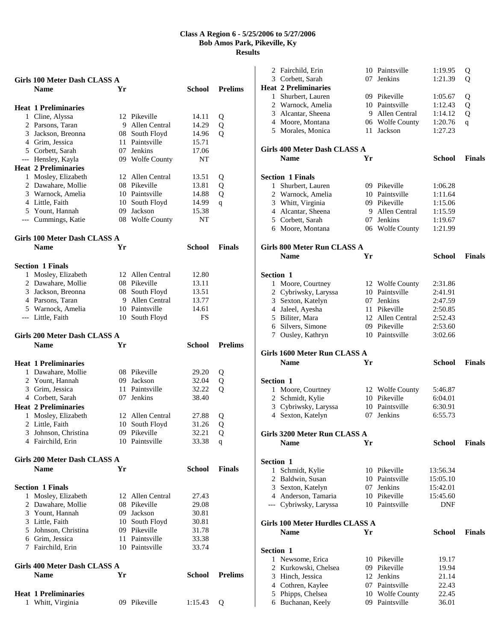| Girls 100 Meter Dash CLASS A<br><b>Name</b>       | Yr  |                                | School        | <b>Prelims</b> |
|---------------------------------------------------|-----|--------------------------------|---------------|----------------|
|                                                   |     |                                |               |                |
| <b>Heat 1 Preliminaries</b>                       |     |                                |               |                |
| 1 Cline, Alyssa                                   |     | 12 Pikeville                   | 14.11         | Q              |
| 2 Parsons, Taran                                  |     | 9 Allen Central                | 14.29         | Q              |
| 3 Jackson, Breonna                                |     | 08 South Floyd                 | 14.96         | Q              |
| 4 Grim, Jessica                                   |     | 11 Paintsville                 | 15.71         |                |
| 5 Corbett, Sarah                                  |     | 07 Jenkins<br>09 Wolfe County  | 17.06<br>NT   |                |
| --- Hensley, Kayla<br><b>Heat 2 Preliminaries</b> |     |                                |               |                |
| 1 Mosley, Elizabeth                               |     | 12 Allen Central               | 13.51         |                |
| 2 Dawahare, Mollie                                |     | 08 Pikeville                   | 13.81         | Q<br>Q         |
| 3 Warnock, Amelia                                 |     | 10 Paintsville                 | 14.88         | Q              |
| 4 Little, Faith                                   |     | 10 South Floyd                 | 14.99         | q              |
| 5 Yount, Hannah                                   | 09. | Jackson                        | 15.38         |                |
| --- Cummings, Katie                               |     | 08 Wolfe County                | NT            |                |
| <b>Girls 100 Meter Dash CLASS A</b>               |     |                                |               |                |
| <b>Name</b>                                       | Yr  |                                | School        | <b>Finals</b>  |
|                                                   |     |                                |               |                |
| <b>Section 1 Finals</b>                           |     |                                |               |                |
| 1 Mosley, Elizabeth                               |     | 12 Allen Central               | 12.80         |                |
| 2 Dawahare, Mollie                                |     | 08 Pikeville                   | 13.11         |                |
| 3 Jackson, Breonna                                |     | 08 South Floyd                 | 13.51         |                |
| 4 Parsons, Taran                                  | 9   | Allen Central                  | 13.77         |                |
| 5 Warnock, Amelia                                 |     | 10 Paintsville                 | 14.61         |                |
| --- Little, Faith                                 |     | 10 South Floyd                 | FS            |                |
|                                                   |     |                                |               |                |
| Girls 200 Meter Dash CLASS A                      |     |                                |               |                |
|                                                   |     |                                |               | <b>Prelims</b> |
| <b>Name</b>                                       | Yr  |                                | School        |                |
|                                                   |     |                                |               |                |
| <b>Heat 1 Preliminaries</b>                       |     |                                |               |                |
| 1 Dawahare, Mollie                                |     | 08 Pikeville                   | 29.20         | Q              |
| 2 Yount, Hannah                                   |     | 09 Jackson                     | 32.04         | Q              |
| 3 Grim, Jessica                                   |     | 11 Paintsville                 | 32.22         | Q              |
| 4 Corbett, Sarah                                  |     | 07 Jenkins                     | 38.40         |                |
| <b>Heat 2 Preliminaries</b>                       |     |                                |               |                |
| 1 Mosley, Elizabeth                               |     | 12 Allen Central               | 27.88         | Q              |
| 2 Little, Faith                                   |     | 10 South Floyd                 | 31.26         | Q              |
| 3 Johnson, Christina                              |     | 09 Pikeville<br>10 Paintsville | 32.21         | Q              |
| 4 Fairchild, Erin                                 |     |                                | 33.38         | q              |
| Girls 200 Meter Dash CLASS A                      |     |                                |               |                |
| <b>Name</b>                                       | Yr  |                                | <b>School</b> | <b>Finals</b>  |
|                                                   |     |                                |               |                |
| <b>Section 1 Finals</b>                           |     |                                |               |                |
| 1 Mosley, Elizabeth                               |     | 12 Allen Central               | 27.43         |                |
| 2 Dawahare, Mollie                                |     | 08 Pikeville                   | 29.08         |                |
| 3 Yount, Hannah                                   |     | 09 Jackson                     | 30.81         |                |
| 3 Little, Faith                                   |     | 10 South Floyd                 | 30.81         |                |
| 5 Johnson, Christina                              |     | 09 Pikeville                   | 31.78         |                |
| 6 Grim, Jessica                                   |     | 11 Paintsville                 | 33.38         |                |
| 7 Fairchild, Erin                                 |     | 10 Paintsville                 | 33.74         |                |
| Girls 400 Meter Dash CLASS A                      |     |                                |               |                |
| <b>Name</b>                                       | Yr  |                                | <b>School</b> | <b>Prelims</b> |
|                                                   |     |                                |               |                |
| <b>Heat 1 Preliminaries</b><br>1 Whitt, Virginia  |     | 09 Pikeville                   | 1:15.43       | Q              |

| 2                | Fairchild, Erin                 |    | 10 Paintsville   | 1:19.95  | Q             |
|------------------|---------------------------------|----|------------------|----------|---------------|
|                  | 3 Corbett, Sarah                |    | 07 Jenkins       | 1:21.39  | Q             |
|                  | <b>Heat 2 Preliminaries</b>     |    |                  |          |               |
|                  | 1 Shurbert, Lauren              |    | 09 Pikeville     | 1:05.67  | Q             |
|                  | 2 Warnock, Amelia               |    | 10 Paintsville   | 1:12.43  | Q             |
|                  | 3 Alcantar, Sheena              |    | 9 Allen Central  | 1:14.12  | Q             |
|                  | 4 Moore, Montana                |    | 06 Wolfe County  | 1:20.76  | q             |
|                  | 5 Morales, Monica               | 11 | Jackson          | 1:27.23  |               |
|                  | Girls 400 Meter Dash CLASS A    |    |                  |          |               |
|                  | <b>Name</b>                     | Yr |                  | School   | <b>Finals</b> |
|                  | <b>Section 1 Finals</b>         |    |                  |          |               |
|                  | 1 Shurbert, Lauren              |    | 09 Pikeville     | 1:06.28  |               |
|                  | 2 Warnock, Amelia               |    | 10 Paintsville   | 1:11.64  |               |
|                  | 3 Whitt, Virginia               |    | 09 Pikeville     | 1:15.06  |               |
|                  | 4 Alcantar, Sheena              |    | 9 Allen Central  | 1:15.59  |               |
|                  | 5 Corbett, Sarah                |    | 07 Jenkins       | 1:19.67  |               |
|                  | 6 Moore, Montana                |    | 06 Wolfe County  | 1:21.99  |               |
|                  | Girls 800 Meter Run CLASS A     |    |                  |          |               |
|                  | <b>Name</b>                     | Yr |                  | School   | <b>Finals</b> |
| Section 1        |                                 |    |                  |          |               |
|                  | 1 Moore, Courtney               |    | 12 Wolfe County  | 2:31.86  |               |
|                  | 2 Cybriwsky, Laryssa            |    | 10 Paintsville   | 2:41.91  |               |
|                  | 3 Sexton, Katelyn               |    | 07 Jenkins       | 2:47.59  |               |
|                  | 4 Jaleel, Ayesha                |    | 11 Pikeville     | 2:50.85  |               |
|                  | 5 Biliter, Mara                 |    | 12 Allen Central | 2:52.43  |               |
|                  | 6 Silvers, Simone               |    | 09 Pikeville     | 2:53.60  |               |
|                  | 7 Ousley, Kathryn               |    | 10 Paintsville   | 3:02.66  |               |
|                  | Girls 1600 Meter Run CLASS A    |    |                  |          |               |
|                  | <b>Name</b>                     | Yr |                  | School   | <b>Finals</b> |
| Section 1        |                                 |    |                  |          |               |
|                  | 1 Moore, Courtney               |    | 12 Wolfe County  | 5:46.87  |               |
|                  | 2 Schmidt, Kylie                |    | 10 Pikeville     | 6:04.01  |               |
| 3                | Cybriwsky, Laryssa              |    | 10 Paintsville   | 6:30.91  |               |
|                  | 4 Sexton, Katelyn               |    | 07 Jenkins       | 6:55.73  |               |
|                  | Girls 3200 Meter Run CLASS A    |    |                  |          |               |
|                  | <b>Name</b>                     | Yr |                  | School   | <b>Finals</b> |
| <b>Section 1</b> |                                 |    |                  |          |               |
| 1                | Schmidt, Kylie                  |    | 10 Pikeville     | 13:56.34 |               |
| 2                | Baldwin, Susan                  |    | 10 Paintsville   | 15:05.10 |               |
|                  | 3 Sexton, Katelyn               |    | 07 Jenkins       | 15:42.01 |               |
|                  | 4 Anderson, Tamaria             |    | 10 Pikeville     | 15:45.60 |               |
|                  | --- Cybriwsky, Laryssa          |    | 10 Paintsville   | DNF      |               |
|                  | Girls 100 Meter Hurdles CLASS A |    |                  |          |               |
|                  | <b>Name</b>                     | Yr |                  | School   | <b>Finals</b> |
| Section 1        |                                 |    |                  |          |               |
|                  | 1 Newsome, Erica                |    | 10 Pikeville     | 19.17    |               |
|                  | 2 Kurkowski, Chelsea            |    | 09 Pikeville     | 19.94    |               |
|                  | 3 Hinch, Jessica                |    | 12 Jenkins       | 21.14    |               |
|                  | 4 Cothren, Kaylee               |    | 07 Paintsville   | 22.43    |               |
|                  | 5 Phipps, Chelsea               |    | 10 Wolfe County  | 22.45    |               |
|                  | 6 Buchanan, Keely               |    | 09 Paintsville   |          |               |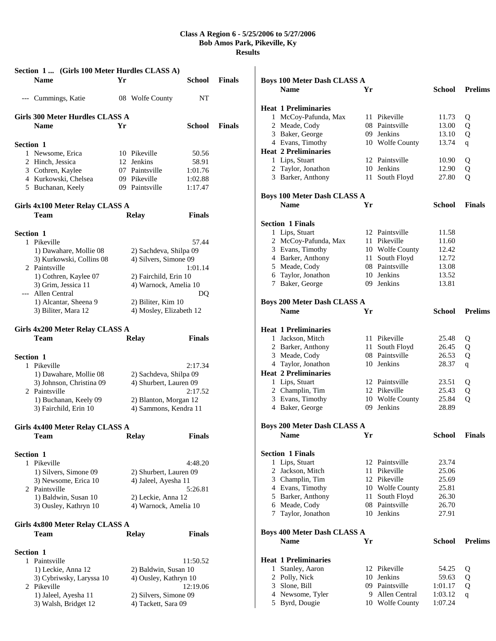|                  | Section 1  (Girls 100 Meter Hurdles CLASS A)<br><b>Name</b>                                                                                                                                             | Yr |                                                                                                                                                    | School                                                           | <b>Finals</b> |
|------------------|---------------------------------------------------------------------------------------------------------------------------------------------------------------------------------------------------------|----|----------------------------------------------------------------------------------------------------------------------------------------------------|------------------------------------------------------------------|---------------|
|                  | --- Cummings, Katie                                                                                                                                                                                     |    | 08 Wolfe County                                                                                                                                    | NT                                                               |               |
|                  | Girls 300 Meter Hurdles CLASS A<br><b>Name</b>                                                                                                                                                          | Yr |                                                                                                                                                    | School                                                           | <b>Finals</b> |
| Section 1        | 1 Newsome, Erica<br>2 Hinch, Jessica<br>3 Cothren, Kaylee<br>4 Kurkowski, Chelsea<br>5 Buchanan, Keely<br>Girls 4x100 Meter Relay CLASS A<br>Team                                                       |    | 10 Pikeville<br>12 Jenkins<br>07 Paintsville<br>09 Pikeville<br>09 Paintsville<br><b>Relay</b>                                                     | 50.56<br>58.91<br>1:01.76<br>1:02.88<br>1:17.47<br><b>Finals</b> |               |
| <b>Section 1</b> | 1 Pikeville<br>1) Dawahare, Mollie 08<br>3) Kurkowski, Collins 08<br>2 Paintsville<br>1) Cothren, Kaylee 07<br>3) Grim, Jessica 11<br>--- Allen Central<br>1) Alcantar, Sheena 9<br>3) Biliter, Mara 12 |    | 2) Sachdeva, Shilpa 09<br>4) Silvers, Simone 09<br>2) Fairchild, Erin 10<br>4) Warnock, Amelia 10<br>2) Biliter, Kim 10<br>4) Mosley, Elizabeth 12 | 57.44<br>1:01.14<br>DQ                                           |               |
|                  | Girls 4x200 Meter Relay CLASS A<br>Team                                                                                                                                                                 |    | <b>Relay</b>                                                                                                                                       | <b>Finals</b>                                                    |               |
| <b>Section 1</b> | 1 Pikeville<br>1) Dawahare, Mollie 08<br>3) Johnson, Christina 09<br>2 Paintsville<br>1) Buchanan, Keely 09<br>3) Fairchild, Erin 10                                                                    |    | 2) Sachdeva, Shilpa 09<br>4) Shurbert, Lauren 09<br>2) Blanton, Morgan 12<br>4) Sammons, Kendra 11                                                 | 2:17.34<br>2:17.52                                               |               |
|                  | Girls 4x400 Meter Relay CLASS A<br>Team                                                                                                                                                                 |    | <b>Relay</b>                                                                                                                                       | <b>Finals</b>                                                    |               |
| Section 1        | 1 Pikeville<br>1) Silvers, Simone 09<br>3) Newsome, Erica 10<br>2 Paintsville<br>1) Baldwin, Susan 10<br>3) Ousley, Kathryn 10                                                                          |    | 2) Shurbert, Lauren 09<br>4) Jaleel, Ayesha 11<br>2) Leckie, Anna 12<br>4) Warnock, Amelia 10                                                      | 4:48.20<br>5:26.81                                               |               |
|                  | Girls 4x800 Meter Relay CLASS A<br>Team                                                                                                                                                                 |    | <b>Relay</b>                                                                                                                                       | <b>Finals</b>                                                    |               |
| Section 1        | 1 Paintsville<br>1) Leckie, Anna 12<br>3) Cybriwsky, Laryssa 10<br>2 Pikeville<br>1) Jaleel, Ayesha 11<br>3) Walsh, Bridget 12                                                                          |    | 2) Baldwin, Susan 10<br>4) Ousley, Kathryn 10<br>2) Silvers, Simone 09<br>4) Tackett, Sara 09                                                      | 11:50.52<br>12:19.06                                             |               |

| <b>Boys 100 Meter Dash CLASS A</b> |                                    |      |                            |                  |                |
|------------------------------------|------------------------------------|------|----------------------------|------------------|----------------|
|                                    | <b>Name</b>                        | Yr   |                            | School           | <b>Prelims</b> |
|                                    |                                    |      |                            |                  |                |
|                                    | <b>Heat 1 Preliminaries</b>        |      |                            |                  |                |
|                                    | 1 McCoy-Pafunda, Max               |      | 11 Pikeville               | 11.73            | Q              |
|                                    | 2 Meade, Cody                      |      | 08 Paintsville             | 13.00            | Q              |
|                                    | 3 Baker, George                    |      | 09 Jenkins                 | 13.10            | Q              |
|                                    | 4 Evans, Timothy                   |      | 10 Wolfe County            | 13.74            | q              |
|                                    | <b>Heat 2 Preliminaries</b>        |      |                            |                  |                |
|                                    | 1 Lips, Stuart                     |      | 12 Paintsville             | 10.90            | Q              |
|                                    | 2 Taylor, Jonathon                 |      | 10 Jenkins                 | 12.90            | Q              |
|                                    | 3 Barker, Anthony                  | 11   | South Floyd                | 27.80            | Q              |
|                                    |                                    |      |                            |                  |                |
|                                    | <b>Boys 100 Meter Dash CLASS A</b> |      |                            |                  |                |
|                                    | <b>Name</b>                        | Yr   |                            | School           | <b>Finals</b>  |
|                                    |                                    |      |                            |                  |                |
|                                    | <b>Section 1 Finals</b>            |      |                            |                  |                |
|                                    | 1 Lips, Stuart                     |      | 12 Paintsville             | 11.58            |                |
|                                    | 2 McCoy-Pafunda, Max               |      | 11 Pikeville               | 11.60            |                |
|                                    | 3 Evans, Timothy                   |      | 10 Wolfe County            | 12.42            |                |
|                                    | 4 Barker, Anthony                  | 11   | South Floyd                | 12.72            |                |
|                                    | 5 Meade, Cody                      |      | 08 Paintsville             | 13.08            |                |
|                                    | 6 Taylor, Jonathon                 |      | 10 Jenkins                 | 13.52            |                |
|                                    | 7 Baker, George                    |      | 09 Jenkins                 | 13.81            |                |
|                                    |                                    |      |                            |                  |                |
|                                    | <b>Boys 200 Meter Dash CLASS A</b> |      |                            |                  |                |
|                                    | <b>Name</b>                        | Yr   |                            | School           | <b>Prelims</b> |
|                                    |                                    |      |                            |                  |                |
|                                    | <b>Heat 1 Preliminaries</b>        |      |                            |                  |                |
|                                    | 1 Jackson, Mitch                   |      | 11 Pikeville               | 25.48            | Q              |
|                                    | 2 Barker, Anthony                  | 11 - | South Floyd                | 26.45            | Q              |
|                                    | 3 Meade, Cody                      |      | 08 Paintsville             | 26.53            | Q              |
|                                    | 4 Taylor, Jonathon                 |      | 10 Jenkins                 | 28.37            | $\mathbf q$    |
|                                    | <b>Heat 2 Preliminaries</b>        |      |                            |                  |                |
|                                    | 1 Lips, Stuart                     |      | 12 Paintsville             | 23.51            | Q              |
|                                    | 2 Champlin, Tim                    |      | 12 Pikeville               | 25.43            | Q              |
|                                    | 3 Evans, Timothy                   |      | 10 Wolfe County            | 25.84            | Q              |
|                                    | 4 Baker, George                    |      | 09 Jenkins                 | 28.89            |                |
|                                    |                                    |      |                            |                  |                |
|                                    | <b>Boys 200 Meter Dash CLASS A</b> |      |                            |                  |                |
|                                    | <b>Name</b>                        | Yr   |                            | <b>School</b>    | <b>Finals</b>  |
|                                    |                                    |      |                            |                  |                |
|                                    | <b>Section 1 Finals</b>            |      | 12 Paintsville             | 23.74            |                |
|                                    | 1 Lips, Stuart<br>2 Jackson, Mitch |      | 11 Pikeville               |                  |                |
|                                    | 3 Champlin, Tim                    |      | 12 Pikeville               | 25.06<br>25.69   |                |
|                                    | 4 Evans, Timothy                   |      | 10 Wolfe County            | 25.81            |                |
|                                    | 5 Barker, Anthony                  | 11   | South Floyd                | 26.30            |                |
|                                    | 6 Meade, Cody                      |      | 08 Paintsville             | 26.70            |                |
|                                    | 7 Taylor, Jonathon                 |      | 10 Jenkins                 | 27.91            |                |
|                                    |                                    |      |                            |                  |                |
|                                    | <b>Boys 400 Meter Dash CLASS A</b> |      |                            |                  |                |
|                                    | <b>Name</b>                        | Yr   |                            | School           | <b>Prelims</b> |
|                                    |                                    |      |                            |                  |                |
|                                    | <b>Heat 1 Preliminaries</b>        |      |                            |                  |                |
|                                    |                                    |      |                            |                  |                |
| $\mathbf{1}$                       | Stanley, Aaron                     |      | 12 Pikeville<br>10 Jenkins | 54.25            | Q              |
|                                    | 2 Polly, Nick<br>3 Slone, Bill     |      | 09 Paintsville             | 59.63<br>1:01.17 | Q              |
|                                    | 4 Newsome, Tyler                   |      | 9 Allen Central            | 1:03.12          | Q              |
|                                    | 5 Byrd, Dougie                     |      | 10 Wolfe County            | 1:07.24          | q              |
|                                    |                                    |      |                            |                  |                |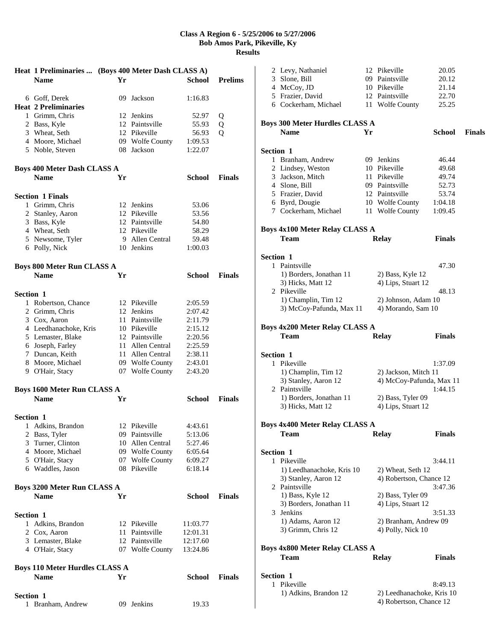|                                       | Heat 1 Preliminaries  (Boys 400 Meter Dash CLASS A) |    |                  |               |                |  |
|---------------------------------------|-----------------------------------------------------|----|------------------|---------------|----------------|--|
|                                       | <b>Name</b>                                         | Yr |                  | School        | <b>Prelims</b> |  |
|                                       |                                                     |    |                  |               |                |  |
|                                       | 6 Goff, Derek<br><b>Heat 2 Preliminaries</b>        |    | 09 Jackson       | 1:16.83       |                |  |
|                                       | 1 Grimm, Chris                                      |    | 12 Jenkins       | 52.97         | Q              |  |
|                                       | 2 Bass, Kyle                                        |    | 12 Paintsville   | 55.93         | Q              |  |
|                                       | 3 Wheat, Seth                                       |    | 12 Pikeville     | 56.93         | Q              |  |
|                                       | 4 Moore, Michael                                    |    | 09 Wolfe County  | 1:09.53       |                |  |
|                                       | 5 Noble, Steven                                     |    | 08 Jackson       | 1:22.07       |                |  |
|                                       | <b>Boys 400 Meter Dash CLASS A</b>                  |    |                  |               |                |  |
|                                       | <b>Name</b>                                         | Yr |                  | School        | <b>Finals</b>  |  |
|                                       | <b>Section 1 Finals</b>                             |    |                  |               |                |  |
|                                       | 1 Grimm, Chris                                      |    | 12 Jenkins       | 53.06         |                |  |
|                                       | 2 Stanley, Aaron                                    |    | 12 Pikeville     | 53.56         |                |  |
|                                       | 3 Bass, Kyle                                        |    | 12 Paintsville   | 54.80         |                |  |
|                                       | 4 Wheat, Seth                                       |    | 12 Pikeville     | 58.29         |                |  |
|                                       | 5 Newsome, Tyler                                    |    | 9 Allen Central  | 59.48         |                |  |
|                                       | 6 Polly, Nick                                       |    | 10 Jenkins       | 1:00.03       |                |  |
|                                       |                                                     |    |                  |               |                |  |
|                                       | <b>Boys 800 Meter Run CLASS A</b><br><b>Name</b>    | Yr |                  | School        | <b>Finals</b>  |  |
|                                       |                                                     |    |                  |               |                |  |
| <b>Section 1</b>                      |                                                     |    |                  |               |                |  |
|                                       | 1 Robertson, Chance                                 |    | 12 Pikeville     | 2:05.59       |                |  |
|                                       | 2 Grimm, Chris                                      |    | 12 Jenkins       | 2:07.42       |                |  |
|                                       | 3 Cox, Aaron                                        |    | 11 Paintsville   | 2:11.79       |                |  |
|                                       | 4 Leedhanachoke, Kris                               |    | 10 Pikeville     | 2:15.12       |                |  |
|                                       | 5 Lemaster, Blake                                   |    | 12 Paintsville   | 2:20.56       |                |  |
|                                       | 6 Joseph, Farley                                    |    | 11 Allen Central | 2:25.59       |                |  |
|                                       | 7 Duncan, Keith                                     |    | 11 Allen Central | 2:38.11       |                |  |
|                                       | 8 Moore, Michael                                    |    | 09 Wolfe County  | 2:43.01       |                |  |
|                                       | 9 O'Hair, Stacy                                     |    | 07 Wolfe County  | 2:43.20       |                |  |
|                                       | <b>Boys 1600 Meter Run CLASS A</b>                  |    |                  |               |                |  |
|                                       | <b>Name</b>                                         | Yr |                  | School        | <b>Finals</b>  |  |
|                                       |                                                     |    |                  |               |                |  |
| <b>Section 1</b>                      | 1 Adkins, Brandon                                   |    | 12 Pikeville     | 4:43.61       |                |  |
|                                       | 2 Bass, Tyler                                       |    | 09 Paintsville   | 5:13.06       |                |  |
|                                       | 3 Turner, Clinton                                   |    | 10 Allen Central | 5:27.46       |                |  |
|                                       | 4 Moore, Michael                                    |    | 09 Wolfe County  | 6:05.64       |                |  |
|                                       | 5 O'Hair, Stacy                                     |    | 07 Wolfe County  | 6:09.27       |                |  |
|                                       | 6 Waddles, Jason                                    |    | 08 Pikeville     | 6:18.14       |                |  |
|                                       |                                                     |    |                  |               |                |  |
|                                       | <b>Boys 3200 Meter Run CLASS A</b><br><b>Name</b>   | Yr |                  | <b>School</b> | <b>Finals</b>  |  |
|                                       |                                                     |    |                  |               |                |  |
| Section 1                             |                                                     |    |                  |               |                |  |
|                                       | 1 Adkins, Brandon                                   |    | 12 Pikeville     | 11:03.77      |                |  |
|                                       | 2 Cox, Aaron                                        |    | 11 Paintsville   | 12:01.31      |                |  |
|                                       | 3 Lemaster, Blake                                   |    | 12 Paintsville   | 12:17.60      |                |  |
|                                       | 4 O'Hair, Stacy                                     |    | 07 Wolfe County  | 13:24.86      |                |  |
| <b>Boys 110 Meter Hurdles CLASS A</b> |                                                     |    |                  |               |                |  |
|                                       | <b>Name</b>                                         | Yr |                  | School        | <b>Finals</b>  |  |
|                                       |                                                     |    |                  |               |                |  |
| Section 1                             |                                                     |    |                  |               |                |  |
| $\mathbf{1}$                          | Branham, Andrew                                     |    | 09 Jenkins       | 19.33         |                |  |

|                  | 2 Levy, Nathaniel                             |    | 12 Pikeville                                         | 20.05         |               |
|------------------|-----------------------------------------------|----|------------------------------------------------------|---------------|---------------|
|                  | 3 Slone, Bill                                 |    | 09 Paintsville                                       | 20.12         |               |
|                  | 4 McCoy, JD                                   |    | 10 Pikeville                                         | 21.14         |               |
|                  | 5 Frazier, David                              |    | 12 Paintsville                                       | 22.70         |               |
|                  | 6 Cockerham, Michael                          |    | 11 Wolfe County                                      | 25.25         |               |
|                  | <b>Boys 300 Meter Hurdles CLASS A</b>         |    |                                                      |               |               |
|                  | <b>Name</b>                                   | Yr |                                                      | School        | <b>Finals</b> |
|                  |                                               |    |                                                      |               |               |
| <b>Section 1</b> | 1 Branham, Andrew                             |    | 09 Jenkins                                           | 46.44         |               |
|                  | 2 Lindsey, Weston                             |    | 10 Pikeville                                         | 49.68         |               |
|                  | 3 Jackson, Mitch                              |    | 11 Pikeville                                         | 49.74         |               |
|                  | 4 Slone, Bill                                 |    | 09 Paintsville                                       | 52.73         |               |
|                  | 5 Frazier, David                              |    | 12 Paintsville                                       | 53.74         |               |
|                  | 6 Byrd, Dougie                                |    | 10 Wolfe County                                      | 1:04.18       |               |
|                  | 7 Cockerham, Michael                          |    | 11 Wolfe County                                      | 1:09.45       |               |
|                  |                                               |    |                                                      |               |               |
|                  | <b>Boys 4x100 Meter Relay CLASS A</b><br>Team |    | <b>Relay</b>                                         | <b>Finals</b> |               |
|                  |                                               |    |                                                      |               |               |
| <b>Section 1</b> |                                               |    |                                                      |               |               |
|                  | 1 Paintsville                                 |    |                                                      | 47.30         |               |
|                  | 1) Borders, Jonathan 11                       |    | 2) Bass, Kyle 12                                     |               |               |
|                  | 3) Hicks, Matt 12                             |    | 4) Lips, Stuart 12                                   |               |               |
|                  | 2 Pikeville                                   |    |                                                      | 48.13         |               |
|                  | 1) Champlin, Tim 12                           |    | 2) Johnson, Adam 10                                  |               |               |
|                  | 3) McCoy-Pafunda, Max 11                      |    | 4) Morando, Sam 10                                   |               |               |
|                  | <b>Boys 4x200 Meter Relay CLASS A</b>         |    |                                                      |               |               |
|                  | <b>Team</b>                                   |    | <b>Relay</b>                                         | <b>Finals</b> |               |
|                  |                                               |    |                                                      |               |               |
|                  |                                               |    |                                                      |               |               |
| Section 1        |                                               |    |                                                      |               |               |
|                  | 1 Pikeville                                   |    |                                                      | 1:37.09       |               |
|                  | 1) Champlin, Tim 12                           |    | 2) Jackson, Mitch 11                                 |               |               |
|                  | 3) Stanley, Aaron 12                          |    | 4) McCoy-Pafunda, Max 11                             | 1:44.15       |               |
|                  | 2 Paintsville                                 |    |                                                      |               |               |
|                  | 1) Borders, Jonathan 11<br>3) Hicks, Matt 12  |    | 2) Bass, Tyler 09<br>4) Lips, Stuart 12              |               |               |
|                  |                                               |    |                                                      |               |               |
|                  | <b>Boys 4x400 Meter Relay CLASS A</b><br>Team |    |                                                      | <b>Finals</b> |               |
|                  |                                               |    | <b>Relay</b>                                         |               |               |
| Section 1        |                                               |    |                                                      |               |               |
|                  | 1 Pikeville                                   |    |                                                      | 3:44.11       |               |
|                  | 1) Leedhanachoke, Kris 10                     |    | 2) Wheat, Seth 12                                    |               |               |
|                  | 3) Stanley, Aaron 12                          |    | 4) Robertson, Chance 12                              |               |               |
|                  | 2 Paintsville                                 |    |                                                      | 3:47.36       |               |
|                  | 1) Bass, Kyle 12                              |    | 2) Bass, Tyler 09                                    |               |               |
|                  | 3) Borders, Jonathan 11                       |    | 4) Lips, Stuart 12                                   |               |               |
|                  | 3 Jenkins                                     |    |                                                      | 3:51.33       |               |
|                  | 1) Adams, Aaron 12<br>3) Grimm, Chris 12      |    | 2) Branham, Andrew 09<br>4) Polly, Nick 10           |               |               |
|                  |                                               |    |                                                      |               |               |
|                  | Boys 4x800 Meter Relay CLASS A                |    |                                                      |               |               |
|                  | Team                                          |    | <b>Relay</b>                                         | <b>Finals</b> |               |
| <b>Section 1</b> |                                               |    |                                                      |               |               |
|                  | 1 Pikeville                                   |    |                                                      | 8:49.13       |               |
|                  | 1) Adkins, Brandon 12                         |    | 2) Leedhanachoke, Kris 10<br>4) Robertson, Chance 12 |               |               |